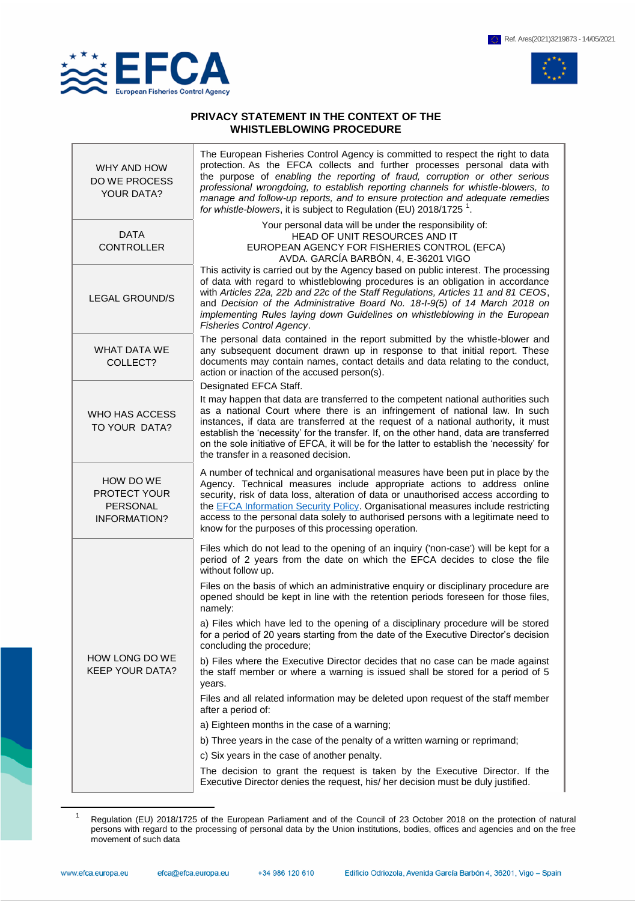

 $\overline{a}$ 



## **PRIVACY STATEMENT IN THE CONTEXT OF THE WHISTLEBLOWING PROCEDURE**

| WHY AND HOW<br><b>DO WE PROCESS</b><br><b>YOUR DATA?</b>     | The European Fisheries Control Agency is committed to respect the right to data<br>protection. As the EFCA collects and further processes personal data with<br>the purpose of enabling the reporting of fraud, corruption or other serious<br>professional wrongdoing, to establish reporting channels for whistle-blowers, to<br>manage and follow-up reports, and to ensure protection and adequate remedies<br>for whistle-blowers, it is subject to Regulation (EU) 2018/1725 $^1$ .   |
|--------------------------------------------------------------|---------------------------------------------------------------------------------------------------------------------------------------------------------------------------------------------------------------------------------------------------------------------------------------------------------------------------------------------------------------------------------------------------------------------------------------------------------------------------------------------|
| <b>DATA</b><br><b>CONTROLLER</b>                             | Your personal data will be under the responsibility of:<br>HEAD OF UNIT RESOURCES AND IT<br>EUROPEAN AGENCY FOR FISHERIES CONTROL (EFCA)<br>AVDA. GARCÍA BARBÓN, 4, E-36201 VIGO                                                                                                                                                                                                                                                                                                            |
| <b>LEGAL GROUND/S</b>                                        | This activity is carried out by the Agency based on public interest. The processing<br>of data with regard to whistleblowing procedures is an obligation in accordance<br>with Articles 22a, 22b and 22c of the Staff Regulations, Articles 11 and 81 CEOS,<br>and Decision of the Administrative Board No. 18-1-9(5) of 14 March 2018 on<br>implementing Rules laying down Guidelines on whistleblowing in the European<br>Fisheries Control Agency.                                       |
| <b>WHAT DATA WE</b><br>COLLECT?                              | The personal data contained in the report submitted by the whistle-blower and<br>any subsequent document drawn up in response to that initial report. These<br>documents may contain names, contact details and data relating to the conduct,<br>action or inaction of the accused person(s).<br>Designated EFCA Staff.                                                                                                                                                                     |
| WHO HAS ACCESS<br>TO YOUR DATA?                              | It may happen that data are transferred to the competent national authorities such<br>as a national Court where there is an infringement of national law. In such<br>instances, if data are transferred at the request of a national authority, it must<br>establish the 'necessity' for the transfer. If, on the other hand, data are transferred<br>on the sole initiative of EFCA, it will be for the latter to establish the 'necessity' for<br>the transfer in a reasoned decision.    |
| HOW DO WE<br>PROTECT YOUR<br>PERSONAL<br><b>INFORMATION?</b> | A number of technical and organisational measures have been put in place by the<br>Agency. Technical measures include appropriate actions to address online<br>security, risk of data loss, alteration of data or unauthorised access according to<br>the <b>EFCA</b> Information Security Policy. Organisational measures include restricting<br>access to the personal data solely to authorised persons with a legitimate need to<br>know for the purposes of this processing operation. |
| HOW LONG DO WE<br><b>KEEP YOUR DATA?</b>                     | Files which do not lead to the opening of an inquiry ('non-case') will be kept for a<br>period of 2 years from the date on which the EFCA decides to close the file<br>without follow up.                                                                                                                                                                                                                                                                                                   |
|                                                              | Files on the basis of which an administrative enquiry or disciplinary procedure are<br>opened should be kept in line with the retention periods foreseen for those files,<br>namely:                                                                                                                                                                                                                                                                                                        |
|                                                              | a) Files which have led to the opening of a disciplinary procedure will be stored<br>for a period of 20 years starting from the date of the Executive Director's decision<br>concluding the procedure;                                                                                                                                                                                                                                                                                      |
|                                                              | b) Files where the Executive Director decides that no case can be made against<br>the staff member or where a warning is issued shall be stored for a period of 5<br>years.                                                                                                                                                                                                                                                                                                                 |
|                                                              | Files and all related information may be deleted upon request of the staff member<br>after a period of:                                                                                                                                                                                                                                                                                                                                                                                     |
|                                                              | a) Eighteen months in the case of a warning;                                                                                                                                                                                                                                                                                                                                                                                                                                                |
|                                                              | b) Three years in the case of the penalty of a written warning or reprimand;                                                                                                                                                                                                                                                                                                                                                                                                                |
|                                                              | c) Six years in the case of another penalty.                                                                                                                                                                                                                                                                                                                                                                                                                                                |
|                                                              | The decision to grant the request is taken by the Executive Director. If the<br>Executive Director denies the request, his/ her decision must be duly justified.                                                                                                                                                                                                                                                                                                                            |

<sup>1</sup> Regulation (EU) 2018/1725 of the European Parliament and of the Council of 23 October 2018 on the protection of natural persons with regard to the processing of personal data by the Union institutions, bodies, offices and agencies and on the free movement of such data